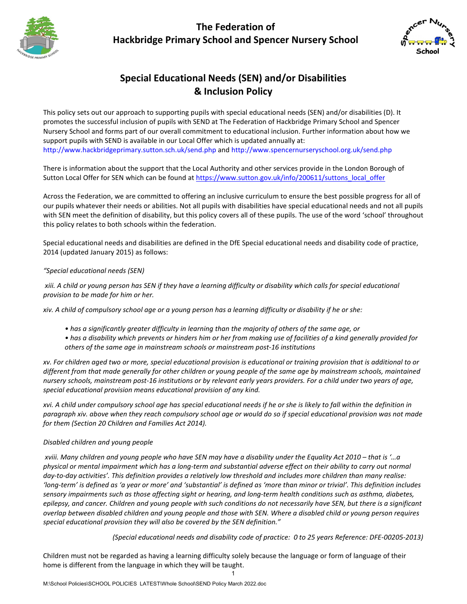# **The Federation of Hackbridge Primary School and Spencer Nursery School**





# **Special Educational Needs (SEN) and/or Disabilities & Inclusion Policy**

This policy sets out our approach to supporting pupils with special educational needs (SEN) and/or disabilities (D). It promotes the successful inclusion of pupils with SEND at The Federation of Hackbridge Primary School and Spencer Nursery School and forms part of our overall commitment to educational inclusion. Further information about how we support pupils with SEND is available in our Local Offer which is updated annually at: <http://www.hackbridgeprimary.sutton.sch.uk/send.php> and http:/[/www.spencernurseryschool.org.uk/send.php](http://www.spencernurseryschool.org.uk/send.php)

There is information about the support that the Local Authority and other services provide in the London Borough of Sutton Local Offer for SEN which can be found at [https://www.sutton.gov.uk/info/200611/suttons\\_local\\_offer](https://www.sutton.gov.uk/info/200611/suttons_local_offer)

Across the Federation, we are committed to offering an inclusive curriculum to ensure the best possible progress for all of our pupils whatever their needs or abilities. Not all pupils with disabilities have special educational needs and not all pupils with SEN meet the definition of disability, but this policy covers all of these pupils. The use of the word 'school' throughout this policy relates to both schools within the federation.

Special educational needs and disabilities are defined in the DfE Special educational needs and disability code of practice, 2014 (updated January 2015) as follows:

# *"Special educational needs (SEN)*

*xiii. A child or young person has SEN if they have a learning difficulty or disability which calls for special educational provision to be made for him or her.* 

*xiv. A child of compulsory school age or a young person has a learning difficulty or disability if he or she:* 

- *has a significantly greater difficulty in learning than the majority of others of the same age, or*
- *has a disability which prevents or hinders him or her from making use of facilities of a kind generally provided for others of the same age in mainstream schools or mainstream post-16 institutions*

*xv. For children aged two or more, special educational provision is educational or training provision that is additional to or different from that made generally for other children or young people of the same age by mainstream schools, maintained nursery schools, mainstream post-16 institutions or by relevant early years providers. For a child under two years of age, special educational provision means educational provision of any kind.*

*xvi. A child under compulsory school age has special educational needs if he or she is likely to fall within the definition in paragraph xiv. above when they reach compulsory school age or would do so if special educational provision was not made for them (Section 20 Children and Families Act 2014).*

# *Disabled children and young people*

*xviii. Many children and young people who have SEN may have a disability under the Equality Act 2010 – that is '…a physical or mental impairment which has a long-term and substantial adverse effect on their ability to carry out normal day-to-day activities'. This definition provides a relatively low threshold and includes more children than many realise: 'long-term' is defined as 'a year or more' and 'substantial' is defined as 'more than minor or trivial'. This definition includes sensory impairments such as those affecting sight or hearing, and long-term health conditions such as asthma, diabetes, epilepsy, and cancer. Children and young people with such conditions do not necessarily have SEN, but there is a significant overlap between disabled children and young people and those with SEN. Where a disabled child or young person requires special educational provision they will also be covered by the SEN definition."*

*(Special educational needs and disability code of practice: 0 to 25 years Reference: DFE-00205-2013)*

Children must not be regarded as having a learning difficulty solely because the language or form of language of their home is different from the language in which they will be taught.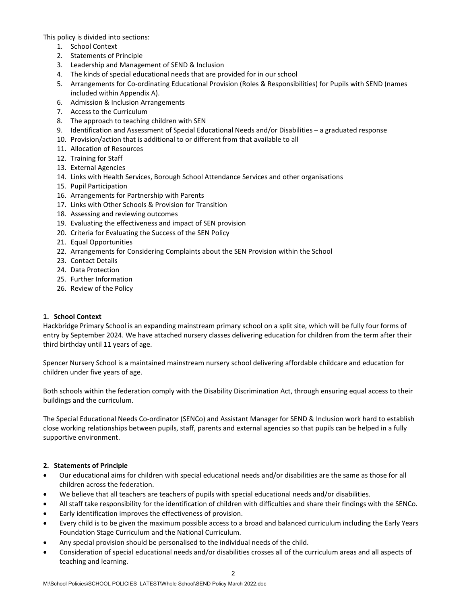This policy is divided into sections:

- 1. School Context
- 2. Statements of Principle
- 3. Leadership and Management of SEND & Inclusion
- 4. The kinds of special educational needs that are provided for in our school
- 5. Arrangements for Co-ordinating Educational Provision (Roles & Responsibilities) for Pupils with SEND (names included within Appendix A).
- 6. Admission & Inclusion Arrangements
- 7. Access to the Curriculum
- 8. The approach to teaching children with SEN
- 9. Identification and Assessment of Special Educational Needs and/or Disabilities a graduated response
- 10. Provision/action that is additional to or different from that available to all
- 11. Allocation of Resources
- 12. Training for Staff
- 13. External Agencies
- 14. Links with Health Services, Borough School Attendance Services and other organisations
- 15. Pupil Participation
- 16. Arrangements for Partnership with Parents
- 17. Links with Other Schools & Provision for Transition
- 18. Assessing and reviewing outcomes
- 19. Evaluating the effectiveness and impact of SEN provision
- 20. Criteria for Evaluating the Success of the SEN Policy
- 21. Equal Opportunities
- 22. Arrangements for Considering Complaints about the SEN Provision within the School
- 23. Contact Details
- 24. Data Protection
- 25. Further Information
- 26. Review of the Policy

# **1. School Context**

Hackbridge Primary School is an expanding mainstream primary school on a split site, which will be fully four forms of entry by September 2024. We have attached nursery classes delivering education for children from the term after their third birthday until 11 years of age.

Spencer Nursery School is a maintained mainstream nursery school delivering affordable childcare and education for children under five years of age.

Both schools within the federation comply with the Disability Discrimination Act, through ensuring equal access to their buildings and the curriculum.

The Special Educational Needs Co-ordinator (SENCo) and Assistant Manager for SEND & Inclusion work hard to establish close working relationships between pupils, staff, parents and external agencies so that pupils can be helped in a fully supportive environment.

# **2. Statements of Principle**

- Our educational aims for children with special educational needs and/or disabilities are the same as those for all children across the federation.
- We believe that all teachers are teachers of pupils with special educational needs and/or disabilities.
- All staff take responsibility for the identification of children with difficulties and share their findings with the SENCo.
- Early identification improves the effectiveness of provision.
- Every child is to be given the maximum possible access to a broad and balanced curriculum including the Early Years Foundation Stage Curriculum and the National Curriculum.
- Any special provision should be personalised to the individual needs of the child.
- Consideration of special educational needs and/or disabilities crosses all of the curriculum areas and all aspects of teaching and learning.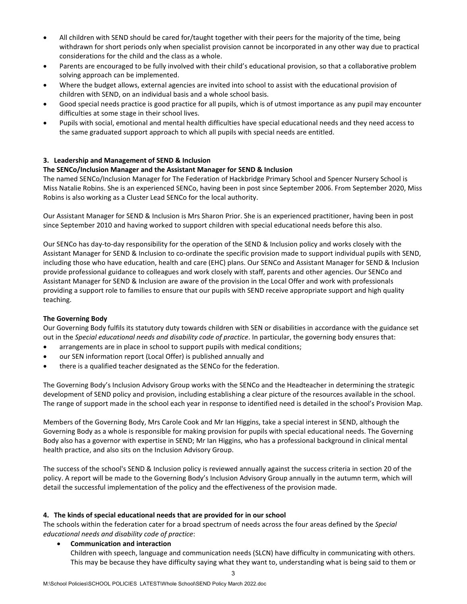- All children with SEND should be cared for/taught together with their peers for the majority of the time, being withdrawn for short periods only when specialist provision cannot be incorporated in any other way due to practical considerations for the child and the class as a whole.
- Parents are encouraged to be fully involved with their child's educational provision, so that a collaborative problem solving approach can be implemented.
- Where the budget allows, external agencies are invited into school to assist with the educational provision of children with SEND, on an individual basis and a whole school basis.
- Good special needs practice is good practice for all pupils, which is of utmost importance as any pupil may encounter difficulties at some stage in their school lives.
- Pupils with social, emotional and mental health difficulties have special educational needs and they need access to the same graduated support approach to which all pupils with special needs are entitled.

# **3. Leadership and Management of SEND & Inclusion**

# **The SENCo/Inclusion Manager and the Assistant Manager for SEND & Inclusion**

The named SENCo/Inclusion Manager for The Federation of Hackbridge Primary School and Spencer Nursery School is Miss Natalie Robins. She is an experienced SENCo, having been in post since September 2006. From September 2020, Miss Robins is also working as a Cluster Lead SENCo for the local authority.

Our Assistant Manager for SEND & Inclusion is Mrs Sharon Prior. She is an experienced practitioner, having been in post since September 2010 and having worked to support children with special educational needs before this also.

Our SENCo has day-to-day responsibility for the operation of the SEND & Inclusion policy and works closely with the Assistant Manager for SEND & Inclusion to co-ordinate the specific provision made to support individual pupils with SEND, including those who have education, health and care (EHC) plans. Our SENCo and Assistant Manager for SEND & Inclusion provide professional guidance to colleagues and work closely with staff, parents and other agencies. Our SENCo and Assistant Manager for SEND & Inclusion are aware of the provision in the Local Offer and work with professionals providing a support role to families to ensure that our pupils with SEND receive appropriate support and high quality teaching.

# **The Governing Body**

Our Governing Body fulfils its statutory duty towards children with SEN or disabilities in accordance with the guidance set out in the *Special educational needs and disability code of practice*. In particular, the governing body ensures that:

- arrangements are in place in school to support pupils with medical conditions;
- our SEN information report (Local Offer) is published annually and
- there is a qualified teacher designated as the SENCo for the federation.

The Governing Body's Inclusion Advisory Group works with the SENCo and the Headteacher in determining the strategic development of SEND policy and provision, including establishing a clear picture of the resources available in the school. The range of support made in the school each year in response to identified need is detailed in the school's Provision Map.

Members of the Governing Body, Mrs Carole Cook and Mr Ian Higgins, take a special interest in SEND, although the Governing Body as a whole is responsible for making provision for pupils with special educational needs. The Governing Body also has a governor with expertise in SEND; Mr Ian Higgins, who has a professional background in clinical mental health practice, and also sits on the Inclusion Advisory Group.

The success of the school's SEND & Inclusion policy is reviewed annually against the success criteria in section 20 of the policy. A report will be made to the Governing Body's Inclusion Advisory Group annually in the autumn term, which will detail the successful implementation of the policy and the effectiveness of the provision made.

# **4. The kinds of special educational needs that are provided for in our school**

The schools within the federation cater for a broad spectrum of needs across the four areas defined by the *Special educational needs and disability code of practice*:

# • **Communication and interaction**

Children with speech, language and communication needs (SLCN) have difficulty in communicating with others. This may be because they have difficulty saying what they want to, understanding what is being said to them or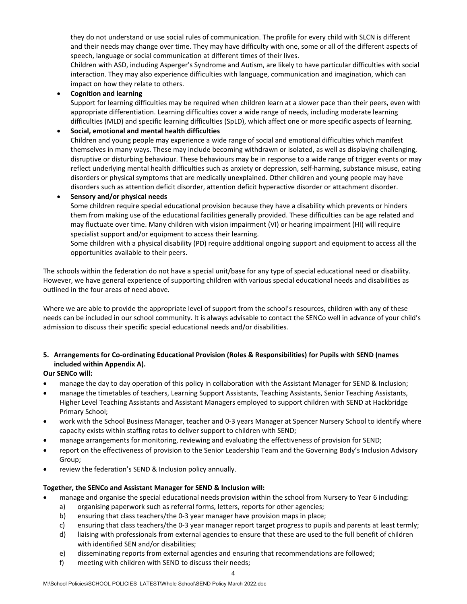they do not understand or use social rules of communication. The profile for every child with SLCN is different and their needs may change over time. They may have difficulty with one, some or all of the different aspects of speech, language or social communication at different times of their lives.

Children with ASD, including Asperger's Syndrome and Autism, are likely to have particular difficulties with social interaction. They may also experience difficulties with language, communication and imagination, which can impact on how they relate to others.

# • **Cognition and learning**

Support for learning difficulties may be required when children learn at a slower pace than their peers, even with appropriate differentiation. Learning difficulties cover a wide range of needs, including moderate learning difficulties (MLD) and specific learning difficulties (SpLD), which affect one or more specific aspects of learning.

# • **Social, emotional and mental health difficulties**

Children and young people may experience a wide range of social and emotional difficulties which manifest themselves in many ways. These may include becoming withdrawn or isolated, as well as displaying challenging, disruptive or disturbing behaviour. These behaviours may be in response to a wide range of trigger events or may reflect underlying mental health difficulties such as anxiety or depression, self-harming, substance misuse, eating disorders or physical symptoms that are medically unexplained. Other children and young people may have disorders such as attention deficit disorder, attention deficit hyperactive disorder or attachment disorder.

# • **Sensory and/or physical needs**

Some children require special educational provision because they have a disability which prevents or hinders them from making use of the educational facilities generally provided. These difficulties can be age related and may fluctuate over time. Many children with vision impairment (VI) or hearing impairment (HI) will require specialist support and/or equipment to access their learning.

Some children with a physical disability (PD) require additional ongoing support and equipment to access all the opportunities available to their peers.

The schools within the federation do not have a special unit/base for any type of special educational need or disability. However, we have general experience of supporting children with various special educational needs and disabilities as outlined in the four areas of need above.

Where we are able to provide the appropriate level of support from the school's resources, children with any of these needs can be included in our school community. It is always advisable to contact the SENCo well in advance of your child's admission to discuss their specific special educational needs and/or disabilities.

# **5. Arrangements for Co-ordinating Educational Provision (Roles & Responsibilities) for Pupils with SEND (names included within Appendix A).**

# **Our SENCo will:**

- manage the day to day operation of this policy in collaboration with the Assistant Manager for SEND & Inclusion;
- manage the timetables of teachers, Learning Support Assistants, Teaching Assistants, Senior Teaching Assistants, Higher Level Teaching Assistants and Assistant Managers employed to support children with SEND at Hackbridge Primary School;
- work with the School Business Manager, teacher and 0-3 years Manager at Spencer Nursery School to identify where capacity exists within staffing rotas to deliver support to children with SEND;
- manage arrangements for monitoring, reviewing and evaluating the effectiveness of provision for SEND;
- report on the effectiveness of provision to the Senior Leadership Team and the Governing Body's Inclusion Advisory Group;
- review the federation's SEND & Inclusion policy annually.

# **Together, the SENCo and Assistant Manager for SEND & Inclusion will:**

- manage and organise the special educational needs provision within the school from Nursery to Year 6 including:
	- a) organising paperwork such as referral forms, letters, reports for other agencies;
	- b) ensuring that class teachers/the 0-3 year manager have provision maps in place;
	- c) ensuring that class teachers/the 0-3 year manager report target progress to pupils and parents at least termly;
	- d) liaising with professionals from external agencies to ensure that these are used to the full benefit of children with identified SEN and/or disabilities;
	- e) disseminating reports from external agencies and ensuring that recommendations are followed;
	- f) meeting with children with SEND to discuss their needs;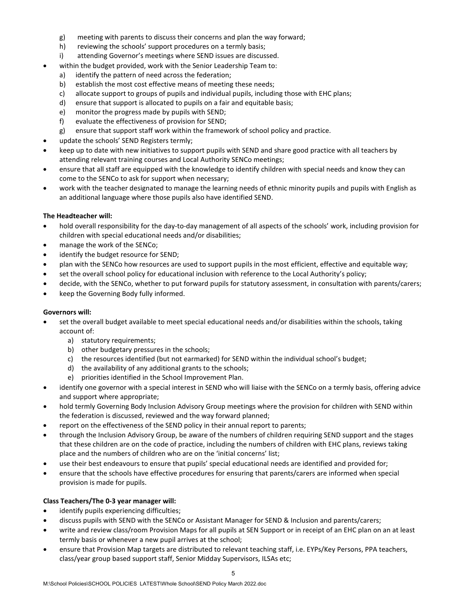- g) meeting with parents to discuss their concerns and plan the way forward;
- h) reviewing the schools' support procedures on a termly basis;
- i) attending Governor's meetings where SEND issues are discussed.
- within the budget provided, work with the Senior Leadership Team to:
	- a) identify the pattern of need across the federation;
	- b) establish the most cost effective means of meeting these needs;
	- c) allocate support to groups of pupils and individual pupils, including those with EHC plans;
	- d) ensure that support is allocated to pupils on a fair and equitable basis;
	- e) monitor the progress made by pupils with SEND;
	- f) evaluate the effectiveness of provision for SEND;
	- g) ensure that support staff work within the framework of school policy and practice.
- update the schools' SEND Registers termly;
- keep up to date with new initiatives to support pupils with SEND and share good practice with all teachers by attending relevant training courses and Local Authority SENCo meetings;
- ensure that all staff are equipped with the knowledge to identify children with special needs and know they can come to the SENCo to ask for support when necessary;
- work with the teacher designated to manage the learning needs of ethnic minority pupils and pupils with English as an additional language where those pupils also have identified SEND.

# **The Headteacher will:**

- hold overall responsibility for the day-to-day management of all aspects of the schools' work, including provision for children with special educational needs and/or disabilities;
- manage the work of the SENCo;
- identify the budget resource for SEND;
- plan with the SENCo how resources are used to support pupils in the most efficient, effective and equitable way;
- set the overall school policy for educational inclusion with reference to the Local Authority's policy;
- decide, with the SENCo, whether to put forward pupils for statutory assessment, in consultation with parents/carers;
- keep the Governing Body fully informed.

# **Governors will:**

- set the overall budget available to meet special educational needs and/or disabilities within the schools, taking account of:
	- a) statutory requirements;
	- b) other budgetary pressures in the schools;
	- c) the resources identified (but not earmarked) for SEND within the individual school's budget;
	- d) the availability of any additional grants to the schools;
	- e) priorities identified in the School Improvement Plan.
- identify one governor with a special interest in SEND who will liaise with the SENCo on a termly basis, offering advice and support where appropriate;
- hold termly Governing Body Inclusion Advisory Group meetings where the provision for children with SEND within the federation is discussed, reviewed and the way forward planned;
- report on the effectiveness of the SEND policy in their annual report to parents;
- through the Inclusion Advisory Group, be aware of the numbers of children requiring SEND support and the stages that these children are on the code of practice, including the numbers of children with EHC plans, reviews taking place and the numbers of children who are on the 'initial concerns' list;
- use their best endeavours to ensure that pupils' special educational needs are identified and provided for;
- ensure that the schools have effective procedures for ensuring that parents/carers are informed when special provision is made for pupils.

# **Class Teachers/The 0-3 year manager will:**

- identify pupils experiencing difficulties;
- discuss pupils with SEND with the SENCo or Assistant Manager for SEND & Inclusion and parents/carers;
- write and review class/room Provision Maps for all pupils at SEN Support or in receipt of an EHC plan on an at least termly basis or whenever a new pupil arrives at the school;
- ensure that Provision Map targets are distributed to relevant teaching staff, i.e. EYPs/Key Persons, PPA teachers, class/year group based support staff, Senior Midday Supervisors, ILSAs etc;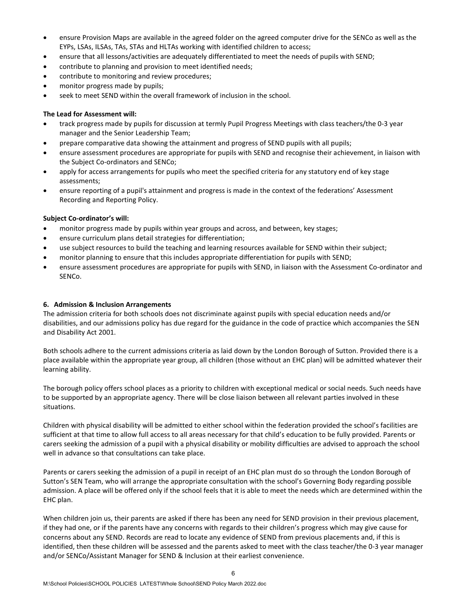- ensure Provision Maps are available in the agreed folder on the agreed computer drive for the SENCo as well as the EYPs, LSAs, ILSAs, TAs, STAs and HLTAs working with identified children to access;
- ensure that all lessons/activities are adequately differentiated to meet the needs of pupils with SEND;
- contribute to planning and provision to meet identified needs;
- contribute to monitoring and review procedures;
- monitor progress made by pupils;
- seek to meet SEND within the overall framework of inclusion in the school.

#### **The Lead for Assessment will:**

- track progress made by pupils for discussion at termly Pupil Progress Meetings with class teachers/the 0-3 year manager and the Senior Leadership Team;
- prepare comparative data showing the attainment and progress of SEND pupils with all pupils;
- ensure assessment procedures are appropriate for pupils with SEND and recognise their achievement, in liaison with the Subject Co-ordinators and SENCo;
- apply for access arrangements for pupils who meet the specified criteria for any statutory end of key stage assessments;
- ensure reporting of a pupil's attainment and progress is made in the context of the federations' Assessment Recording and Reporting Policy.

#### **Subject Co-ordinator's will:**

- monitor progress made by pupils within year groups and across, and between, key stages;
- ensure curriculum plans detail strategies for differentiation;
- use subject resources to build the teaching and learning resources available for SEND within their subject;
- monitor planning to ensure that this includes appropriate differentiation for pupils with SEND;
- ensure assessment procedures are appropriate for pupils with SEND, in liaison with the Assessment Co-ordinator and SENCo.

#### **6. Admission & Inclusion Arrangements**

The admission criteria for both schools does not discriminate against pupils with special education needs and/or disabilities, and our admissions policy has due regard for the guidance in the code of practice which accompanies the SEN and Disability Act 2001.

Both schools adhere to the current admissions criteria as laid down by the London Borough of Sutton. Provided there is a place available within the appropriate year group, all children (those without an EHC plan) will be admitted whatever their learning ability.

The borough policy offers school places as a priority to children with exceptional medical or social needs. Such needs have to be supported by an appropriate agency. There will be close liaison between all relevant parties involved in these situations.

Children with physical disability will be admitted to either school within the federation provided the school's facilities are sufficient at that time to allow full access to all areas necessary for that child's education to be fully provided. Parents or carers seeking the admission of a pupil with a physical disability or mobility difficulties are advised to approach the school well in advance so that consultations can take place.

Parents or carers seeking the admission of a pupil in receipt of an EHC plan must do so through the London Borough of Sutton's SEN Team, who will arrange the appropriate consultation with the school's Governing Body regarding possible admission. A place will be offered only if the school feels that it is able to meet the needs which are determined within the EHC plan.

When children join us, their parents are asked if there has been any need for SEND provision in their previous placement, if they had one, or if the parents have any concerns with regards to their children's progress which may give cause for concerns about any SEND. Records are read to locate any evidence of SEND from previous placements and, if this is identified, then these children will be assessed and the parents asked to meet with the class teacher/the 0-3 year manager and/or SENCo/Assistant Manager for SEND & Inclusion at their earliest convenience.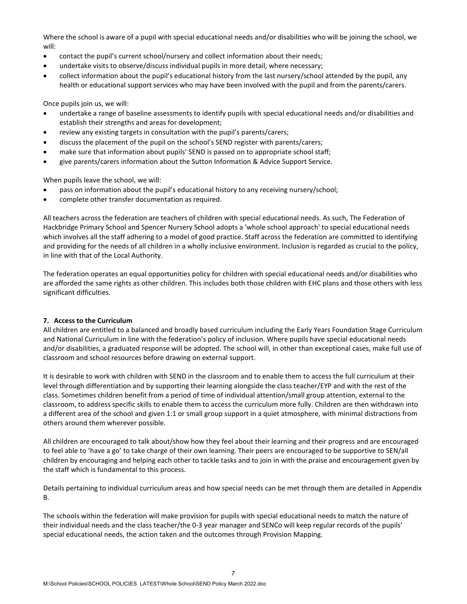Where the school is aware of a pupil with special educational needs and/or disabilities who will be joining the school, we will:

- contact the pupil's current school/nursery and collect information about their needs;
- undertake visits to observe/discuss individual pupils in more detail, where necessary;
- collect information about the pupil's educational history from the last nursery/school attended by the pupil, any health or educational support services who may have been involved with the pupil and from the parents/carers.

Once pupils join us, we will:

- undertake a range of baseline assessments to identify pupils with special educational needs and/or disabilities and establish their strengths and areas for development;
- review any existing targets in consultation with the pupil's parents/carers;
- discuss the placement of the pupil on the school's SEND register with parents/carers;
- make sure that information about pupils' SEND is passed on to appropriate school staff;
- give parents/carers information about the Sutton Information & Advice Support Service.

When pupils leave the school, we will:

- pass on information about the pupil's educational history to any receiving nursery/school;
- complete other transfer documentation as required.

All teachers across the federation are teachers of children with special educational needs. As such, The Federation of Hackbridge Primary School and Spencer Nursery School adopts a 'whole school approach' to special educational needs which involves all the staff adhering to a model of good practice. Staff across the federation are committed to identifying and providing for the needs of all children in a wholly inclusive environment. Inclusion is regarded as crucial to the policy, in line with that of the Local Authority.

The federation operates an equal opportunities policy for children with special educational needs and/or disabilities who are afforded the same rights as other children. This includes both those children with EHC plans and those others with less significant difficulties.

#### **7. Access to the Curriculum**

All children are entitled to a balanced and broadly based curriculum including the Early Years Foundation Stage Curriculum and National Curriculum in line with the federation's policy of inclusion. Where pupils have special educational needs and/or disabilities, a graduated response will be adopted. The school will, in other than exceptional cases, make full use of classroom and school resources before drawing on external support.

It is desirable to work with children with SEND in the classroom and to enable them to access the full curriculum at their level through differentiation and by supporting their learning alongside the class teacher/EYP and with the rest of the class. Sometimes children benefit from a period of time of individual attention/small group attention, external to the classroom, to address specific skills to enable them to access the curriculum more fully. Children are then withdrawn into a different area of the school and given 1:1 or small group support in a quiet atmosphere, with minimal distractions from others around them wherever possible.

All children are encouraged to talk about/show how they feel about their learning and their progress and are encouraged to feel able to 'have a go' to take charge of their own learning. Their peers are encouraged to be supportive to SEN/all children by encouraging and helping each other to tackle tasks and to join in with the praise and encouragement given by the staff which is fundamental to this process.

Details pertaining to individual curriculum areas and how special needs can be met through them are detailed in Appendix B.

The schools within the federation will make provision for pupils with special educational needs to match the nature of their individual needs and the class teacher/the 0-3 year manager and SENCo will keep regular records of the pupils' special educational needs, the action taken and the outcomes through Provision Mapping.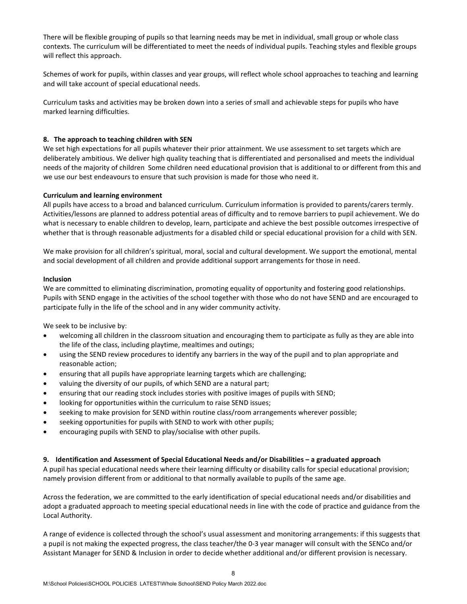There will be flexible grouping of pupils so that learning needs may be met in individual, small group or whole class contexts. The curriculum will be differentiated to meet the needs of individual pupils. Teaching styles and flexible groups will reflect this approach.

Schemes of work for pupils, within classes and year groups, will reflect whole school approaches to teaching and learning and will take account of special educational needs.

Curriculum tasks and activities may be broken down into a series of small and achievable steps for pupils who have marked learning difficulties.

### **8. The approach to teaching children with SEN**

We set high expectations for all pupils whatever their prior attainment. We use assessment to set targets which are deliberately ambitious. We deliver high quality teaching that is differentiated and personalised and meets the individual needs of the majority of children Some children need educational provision that is additional to or different from this and we use our best endeavours to ensure that such provision is made for those who need it.

#### **Curriculum and learning environment**

All pupils have access to a broad and balanced curriculum. Curriculum information is provided to parents/carers termly. Activities/lessons are planned to address potential areas of difficulty and to remove barriers to pupil achievement. We do what is necessary to enable children to develop, learn, participate and achieve the best possible outcomes irrespective of whether that is through reasonable adjustments for a disabled child or special educational provision for a child with SEN.

We make provision for all children's spiritual, moral, social and cultural development. We support the emotional, mental and social development of all children and provide additional support arrangements for those in need.

#### **Inclusion**

We are committed to eliminating discrimination, promoting equality of opportunity and fostering good relationships. Pupils with SEND engage in the activities of the school together with those who do not have SEND and are encouraged to participate fully in the life of the school and in any wider community activity.

We seek to be inclusive by:

- welcoming all children in the classroom situation and encouraging them to participate as fully as they are able into the life of the class, including playtime, mealtimes and outings;
- using the SEND review procedures to identify any barriers in the way of the pupil and to plan appropriate and reasonable action;
- ensuring that all pupils have appropriate learning targets which are challenging;
- valuing the diversity of our pupils, of which SEND are a natural part;
- ensuring that our reading stock includes stories with positive images of pupils with SEND;
- looking for opportunities within the curriculum to raise SEND issues;
- seeking to make provision for SEND within routine class/room arrangements wherever possible;
- seeking opportunities for pupils with SEND to work with other pupils;
- encouraging pupils with SEND to play/socialise with other pupils.

#### **9. Identification and Assessment of Special Educational Needs and/or Disabilities – a graduated approach**

A pupil has special educational needs where their learning difficulty or disability calls for special educational provision; namely provision different from or additional to that normally available to pupils of the same age.

Across the federation, we are committed to the early identification of special educational needs and/or disabilities and adopt a graduated approach to meeting special educational needs in line with the code of practice and guidance from the Local Authority.

A range of evidence is collected through the school's usual assessment and monitoring arrangements: if this suggests that a pupil is not making the expected progress, the class teacher/the 0-3 year manager will consult with the SENCo and/or Assistant Manager for SEND & Inclusion in order to decide whether additional and/or different provision is necessary.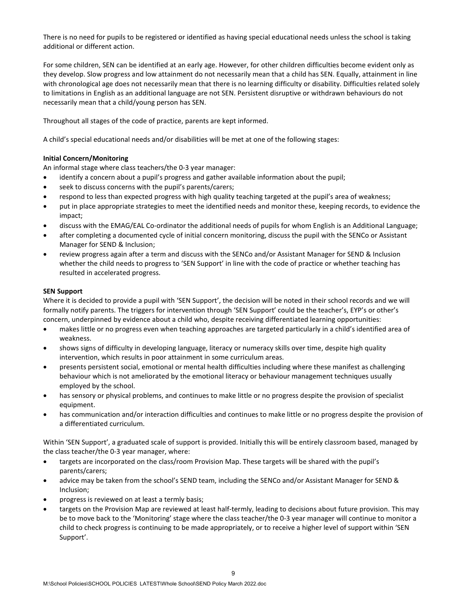There is no need for pupils to be registered or identified as having special educational needs unless the school is taking additional or different action.

For some children, SEN can be identified at an early age. However, for other children difficulties become evident only as they develop. Slow progress and low attainment do not necessarily mean that a child has SEN. Equally, attainment in line with chronological age does not necessarily mean that there is no learning difficulty or disability. Difficulties related solely to limitations in English as an additional language are not SEN. Persistent disruptive or withdrawn behaviours do not necessarily mean that a child/young person has SEN.

Throughout all stages of the code of practice, parents are kept informed.

A child's special educational needs and/or disabilities will be met at one of the following stages:

# **Initial Concern/Monitoring**

An informal stage where class teachers/the 0-3 year manager:

- identify a concern about a pupil's progress and gather available information about the pupil;
- seek to discuss concerns with the pupil's parents/carers;
- respond to less than expected progress with high quality teaching targeted at the pupil's area of weakness;
- put in place appropriate strategies to meet the identified needs and monitor these, keeping records, to evidence the impact;
- discuss with the EMAG/EAL Co-ordinator the additional needs of pupils for whom English is an Additional Language;
- after completing a documented cycle of initial concern monitoring, discuss the pupil with the SENCo or Assistant Manager for SEND & Inclusion;
- review progress again after a term and discuss with the SENCo and/or Assistant Manager for SEND & Inclusion whether the child needs to progress to 'SEN Support' in line with the code of practice or whether teaching has resulted in accelerated progress.

# **SEN Support**

Where it is decided to provide a pupil with 'SEN Support', the decision will be noted in their school records and we will formally notify parents. The triggers for intervention through 'SEN Support' could be the teacher's, EYP's or other's concern, underpinned by evidence about a child who, despite receiving differentiated learning opportunities:

- makes little or no progress even when teaching approaches are targeted particularly in a child's identified area of weakness.
- shows signs of difficulty in developing language, literacy or numeracy skills over time, despite high quality intervention, which results in poor attainment in some curriculum areas.
- presents persistent social, emotional or mental health difficulties including where these manifest as challenging behaviour which is not ameliorated by the emotional literacy or behaviour management techniques usually employed by the school.
- has sensory or physical problems, and continues to make little or no progress despite the provision of specialist equipment.
- has communication and/or interaction difficulties and continues to make little or no progress despite the provision of a differentiated curriculum.

Within 'SEN Support', a graduated scale of support is provided. Initially this will be entirely classroom based, managed by the class teacher/the 0-3 year manager, where:

- targets are incorporated on the class/room Provision Map. These targets will be shared with the pupil's parents/carers;
- advice may be taken from the school's SEND team, including the SENCo and/or Assistant Manager for SEND & Inclusion;
- progress is reviewed on at least a termly basis;
- targets on the Provision Map are reviewed at least half-termly, leading to decisions about future provision. This may be to move back to the 'Monitoring' stage where the class teacher/the 0-3 year manager will continue to monitor a child to check progress is continuing to be made appropriately, or to receive a higher level of support within 'SEN Support'.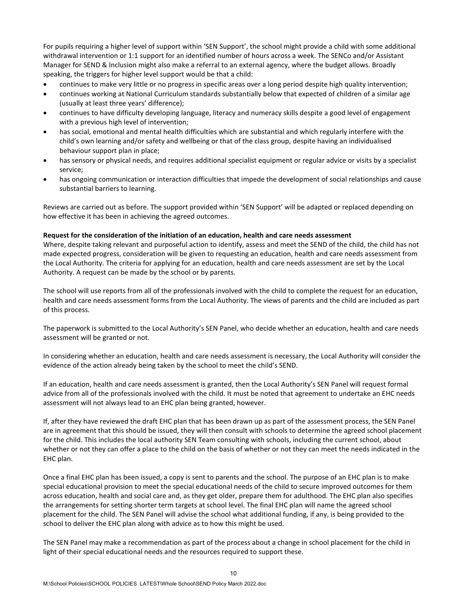For pupils requiring a higher level of support within 'SEN Support', the school might provide a child with some additional withdrawal intervention or 1:1 support for an identified number of hours across a week. The SENCo and/or Assistant Manager for SEND & Inclusion might also make a referral to an external agency, where the budget allows. Broadly speaking, the triggers for higher level support would be that a child:

- continues to make very little or no progress in specific areas over a long period despite high quality intervention;
- continues working at National Curriculum standards substantially below that expected of children of a similar age (usually at least three years' difference);
- continues to have difficulty developing language, literacy and numeracy skills despite a good level of engagement with a previous high level of intervention;
- has social, emotional and mental health difficulties which are substantial and which regularly interfere with the child's own learning and/or safety and wellbeing or that of the class group, despite having an individualised behaviour support plan in place;
- has sensory or physical needs, and requires additional specialist equipment or regular advice or visits by a specialist service;
- has ongoing communication or interaction difficulties that impede the development of social relationships and cause substantial barriers to learning.

Reviews are carried out as before. The support provided within 'SEN Support' will be adapted or replaced depending on how effective it has been in achieving the agreed outcomes.

### **Request for the consideration of the initiation of an education, health and care needs assessment**

Where, despite taking relevant and purposeful action to identify, assess and meet the SEND of the child, the child has not made expected progress, consideration will be given to requesting an education, health and care needs assessment from the Local Authority. The criteria for applying for an education, health and care needs assessment are set by the Local Authority. A request can be made by the school or by parents.

The school will use reports from all of the professionals involved with the child to complete the request for an education, health and care needs assessment forms from the Local Authority. The views of parents and the child are included as part of this process.

The paperwork is submitted to the Local Authority's SEN Panel, who decide whether an education, health and care needs assessment will be granted or not.

In considering whether an education, health and care needs assessment is necessary, the Local Authority will consider the evidence of the action already being taken by the school to meet the child's SEND.

If an education, health and care needs assessment is granted, then the Local Authority's SEN Panel will request formal advice from all of the professionals involved with the child. It must be noted that agreement to undertake an EHC needs assessment will not always lead to an EHC plan being granted, however.

If, after they have reviewed the draft EHC plan that has been drawn up as part of the assessment process, the SEN Panel are in agreement that this should be issued, they will then consult with schools to determine the agreed school placement for the child. This includes the local authority SEN Team consulting with schools, including the current school, about whether or not they can offer a place to the child on the basis of whether or not they can meet the needs indicated in the EHC plan.

Once a final EHC plan has been issued, a copy is sent to parents and the school. The purpose of an EHC plan is to make special educational provision to meet the special educational needs of the child to secure improved outcomes for them across education, health and social care and, as they get older, prepare them for adulthood. The EHC plan also specifies the arrangements for setting shorter term targets at school level. The final EHC plan will name the agreed school placement for the child. The SEN Panel will advise the school what additional funding, if any, is being provided to the school to deliver the EHC plan along with advice as to how this might be used.

The SEN Panel may make a recommendation as part of the process about a change in school placement for the child in light of their special educational needs and the resources required to support these.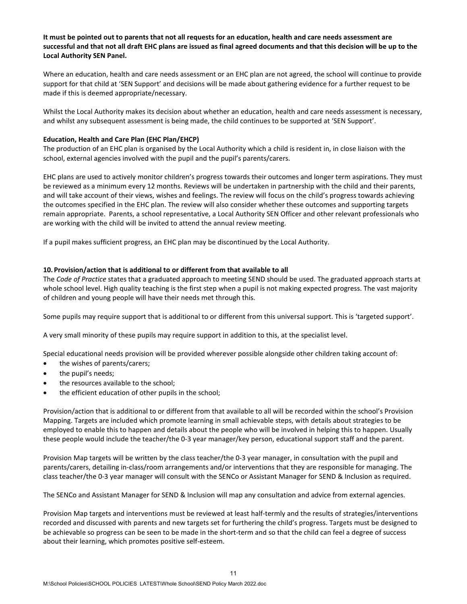# **It must be pointed out to parents that not all requests for an education, health and care needs assessment are successful and that not all draft EHC plans are issued as final agreed documents and that this decision will be up to the Local Authority SEN Panel.**

Where an education, health and care needs assessment or an EHC plan are not agreed, the school will continue to provide support for that child at 'SEN Support' and decisions will be made about gathering evidence for a further request to be made if this is deemed appropriate/necessary.

Whilst the Local Authority makes its decision about whether an education, health and care needs assessment is necessary, and whilst any subsequent assessment is being made, the child continues to be supported at 'SEN Support'.

### **Education, Health and Care Plan (EHC Plan/EHCP)**

The production of an EHC plan is organised by the Local Authority which a child is resident in, in close liaison with the school, external agencies involved with the pupil and the pupil's parents/carers.

EHC plans are used to actively monitor children's progress towards their outcomes and longer term aspirations. They must be reviewed as a minimum every 12 months. Reviews will be undertaken in partnership with the child and their parents, and will take account of their views, wishes and feelings. The review will focus on the child's progress towards achieving the outcomes specified in the EHC plan. The review will also consider whether these outcomes and supporting targets remain appropriate. Parents, a school representative, a Local Authority SEN Officer and other relevant professionals who are working with the child will be invited to attend the annual review meeting.

If a pupil makes sufficient progress, an EHC plan may be discontinued by the Local Authority.

### **10. Provision/action that is additional to or different from that available to all**

The *Code of Practice* states that a graduated approach to meeting SEND should be used. The graduated approach starts at whole school level. High quality teaching is the first step when a pupil is not making expected progress. The vast majority of children and young people will have their needs met through this.

Some pupils may require support that is additional to or different from this universal support. This is 'targeted support'.

A very small minority of these pupils may require support in addition to this, at the specialist level.

Special educational needs provision will be provided wherever possible alongside other children taking account of:

- the wishes of parents/carers;
- the pupil's needs;
- the resources available to the school;
- the efficient education of other pupils in the school;

Provision/action that is additional to or different from that available to all will be recorded within the school's Provision Mapping. Targets are included which promote learning in small achievable steps, with details about strategies to be employed to enable this to happen and details about the people who will be involved in helping this to happen. Usually these people would include the teacher/the 0-3 year manager/key person, educational support staff and the parent.

Provision Map targets will be written by the class teacher/the 0-3 year manager, in consultation with the pupil and parents/carers, detailing in-class/room arrangements and/or interventions that they are responsible for managing. The class teacher/the 0-3 year manager will consult with the SENCo or Assistant Manager for SEND & Inclusion as required.

The SENCo and Assistant Manager for SEND & Inclusion will map any consultation and advice from external agencies.

Provision Map targets and interventions must be reviewed at least half-termly and the results of strategies/interventions recorded and discussed with parents and new targets set for furthering the child's progress. Targets must be designed to be achievable so progress can be seen to be made in the short-term and so that the child can feel a degree of success about their learning, which promotes positive self-esteem.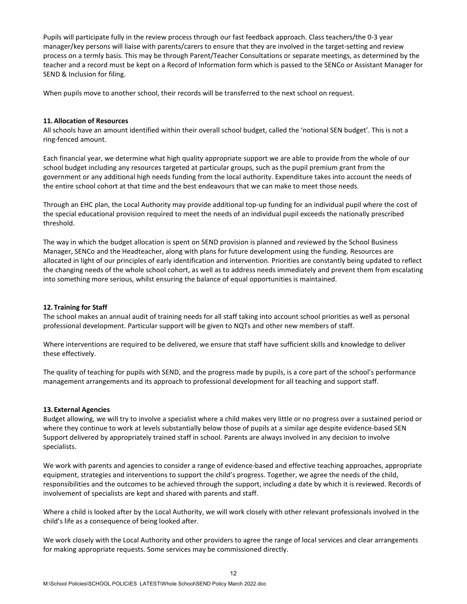Pupils will participate fully in the review process through our fast feedback approach. Class teachers/the 0-3 year manager/key persons will liaise with parents/carers to ensure that they are involved in the target-setting and review process on a termly basis. This may be through Parent/Teacher Consultations or separate meetings, as determined by the teacher and a record must be kept on a Record of Information form which is passed to the SENCo or Assistant Manager for SEND & Inclusion for filing.

When pupils move to another school, their records will be transferred to the next school on request.

#### **11.Allocation of Resources**

All schools have an amount identified within their overall school budget, called the 'notional SEN budget'. This is not a ring-fenced amount.

Each financial year, we determine what high quality appropriate support we are able to provide from the whole of our school budget including any resources targeted at particular groups, such as the pupil premium grant from the government or any additional high needs funding from the local authority. Expenditure takes into account the needs of the entire school cohort at that time and the best endeavours that we can make to meet those needs.

Through an EHC plan, the Local Authority may provide additional top-up funding for an individual pupil where the cost of the special educational provision required to meet the needs of an individual pupil exceeds the nationally prescribed threshold.

The way in which the budget allocation is spent on SEND provision is planned and reviewed by the School Business Manager, SENCo and the Headteacher, along with plans for future development using the funding. Resources are allocated in light of our principles of early identification and intervention. Priorities are constantly being updated to reflect the changing needs of the whole school cohort, as well as to address needs immediately and prevent them from escalating into something more serious, whilst ensuring the balance of equal opportunities is maintained.

# **12. Training for Staff**

The school makes an annual audit of training needs for all staff taking into account school priorities as well as personal professional development. Particular support will be given to NQTs and other new members of staff.

Where interventions are required to be delivered, we ensure that staff have sufficient skills and knowledge to deliver these effectively.

The quality of teaching for pupils with SEND, and the progress made by pupils, is a core part of the school's performance management arrangements and its approach to professional development for all teaching and support staff.

#### **13. External Agencies**

Budget allowing, we will try to involve a specialist where a child makes very little or no progress over a sustained period or where they continue to work at levels substantially below those of pupils at a similar age despite evidence-based SEN Support delivered by appropriately trained staff in school. Parents are always involved in any decision to involve specialists.

We work with parents and agencies to consider a range of evidence-based and effective teaching approaches, appropriate equipment, strategies and interventions to support the child's progress. Together, we agree the needs of the child, responsibilities and the outcomes to be achieved through the support, including a date by which it is reviewed. Records of involvement of specialists are kept and shared with parents and staff.

Where a child is looked after by the Local Authority, we will work closely with other relevant professionals involved in the child's life as a consequence of being looked after.

We work closely with the Local Authority and other providers to agree the range of local services and clear arrangements for making appropriate requests. Some services may be commissioned directly.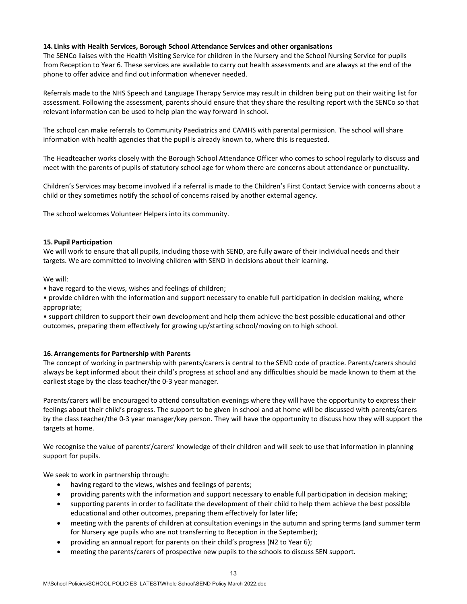### **14. Links with Health Services, Borough School Attendance Services and other organisations**

The SENCo liaises with the Health Visiting Service for children in the Nursery and the School Nursing Service for pupils from Reception to Year 6. These services are available to carry out health assessments and are always at the end of the phone to offer advice and find out information whenever needed.

Referrals made to the NHS Speech and Language Therapy Service may result in children being put on their waiting list for assessment. Following the assessment, parents should ensure that they share the resulting report with the SENCo so that relevant information can be used to help plan the way forward in school.

The school can make referrals to Community Paediatrics and CAMHS with parental permission. The school will share information with health agencies that the pupil is already known to, where this is requested.

The Headteacher works closely with the Borough School Attendance Officer who comes to school regularly to discuss and meet with the parents of pupils of statutory school age for whom there are concerns about attendance or punctuality.

Children's Services may become involved if a referral is made to the Children's First Contact Service with concerns about a child or they sometimes notify the school of concerns raised by another external agency.

The school welcomes Volunteer Helpers into its community.

#### **15. Pupil Participation**

We will work to ensure that all pupils, including those with SEND, are fully aware of their individual needs and their targets. We are committed to involving children with SEND in decisions about their learning.

We will:

• have regard to the views, wishes and feelings of children;

• provide children with the information and support necessary to enable full participation in decision making, where appropriate;

• support children to support their own development and help them achieve the best possible educational and other outcomes, preparing them effectively for growing up/starting school/moving on to high school.

#### **16.Arrangements for Partnership with Parents**

The concept of working in partnership with parents/carers is central to the SEND code of practice. Parents/carers should always be kept informed about their child's progress at school and any difficulties should be made known to them at the earliest stage by the class teacher/the 0-3 year manager.

Parents/carers will be encouraged to attend consultation evenings where they will have the opportunity to express their feelings about their child's progress. The support to be given in school and at home will be discussed with parents/carers by the class teacher/the 0-3 year manager/key person. They will have the opportunity to discuss how they will support the targets at home.

We recognise the value of parents'/carers' knowledge of their children and will seek to use that information in planning support for pupils.

We seek to work in partnership through:

- having regard to the views, wishes and feelings of parents;
- providing parents with the information and support necessary to enable full participation in decision making;
- supporting parents in order to facilitate the development of their child to help them achieve the best possible educational and other outcomes, preparing them effectively for later life;
- meeting with the parents of children at consultation evenings in the autumn and spring terms (and summer term for Nursery age pupils who are not transferring to Reception in the September);
- providing an annual report for parents on their child's progress (N2 to Year 6);
- meeting the parents/carers of prospective new pupils to the schools to discuss SEN support.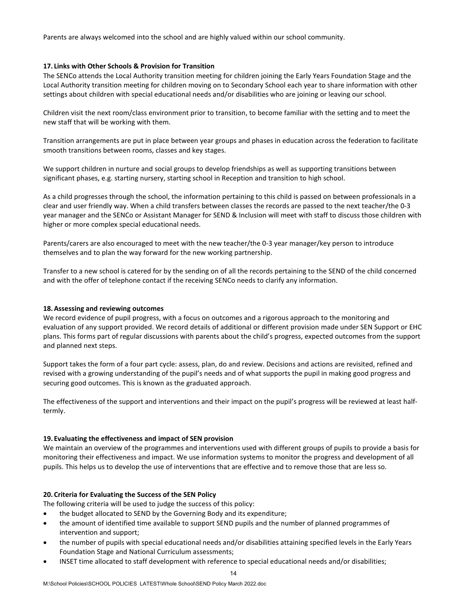Parents are always welcomed into the school and are highly valued within our school community.

### **17. Links with Other Schools & Provision for Transition**

The SENCo attends the Local Authority transition meeting for children joining the Early Years Foundation Stage and the Local Authority transition meeting for children moving on to Secondary School each year to share information with other settings about children with special educational needs and/or disabilities who are joining or leaving our school.

Children visit the next room/class environment prior to transition, to become familiar with the setting and to meet the new staff that will be working with them.

Transition arrangements are put in place between year groups and phases in education across the federation to facilitate smooth transitions between rooms, classes and key stages.

We support children in nurture and social groups to develop friendships as well as supporting transitions between significant phases, e.g. starting nursery, starting school in Reception and transition to high school.

As a child progresses through the school, the information pertaining to this child is passed on between professionals in a clear and user friendly way. When a child transfers between classes the records are passed to the next teacher/the 0-3 year manager and the SENCo or Assistant Manager for SEND & Inclusion will meet with staff to discuss those children with higher or more complex special educational needs.

Parents/carers are also encouraged to meet with the new teacher/the 0-3 year manager/key person to introduce themselves and to plan the way forward for the new working partnership.

Transfer to a new school is catered for by the sending on of all the records pertaining to the SEND of the child concerned and with the offer of telephone contact if the receiving SENCo needs to clarify any information.

#### **18.Assessing and reviewing outcomes**

We record evidence of pupil progress, with a focus on outcomes and a rigorous approach to the monitoring and evaluation of any support provided. We record details of additional or different provision made under SEN Support or EHC plans. This forms part of regular discussions with parents about the child's progress, expected outcomes from the support and planned next steps.

Support takes the form of a four part cycle: assess, plan, do and review. Decisions and actions are revisited, refined and revised with a growing understanding of the pupil's needs and of what supports the pupil in making good progress and securing good outcomes. This is known as the graduated approach.

The effectiveness of the support and interventions and their impact on the pupil's progress will be reviewed at least halftermly.

#### **19. Evaluating the effectiveness and impact of SEN provision**

We maintain an overview of the programmes and interventions used with different groups of pupils to provide a basis for monitoring their effectiveness and impact. We use information systems to monitor the progress and development of all pupils. This helps us to develop the use of interventions that are effective and to remove those that are less so.

# **20. Criteria for Evaluating the Success of the SEN Policy**

The following criteria will be used to judge the success of this policy:

- the budget allocated to SEND by the Governing Body and its expenditure;
- the amount of identified time available to support SEND pupils and the number of planned programmes of intervention and support;
- the number of pupils with special educational needs and/or disabilities attaining specified levels in the Early Years Foundation Stage and National Curriculum assessments;
- INSET time allocated to staff development with reference to special educational needs and/or disabilities;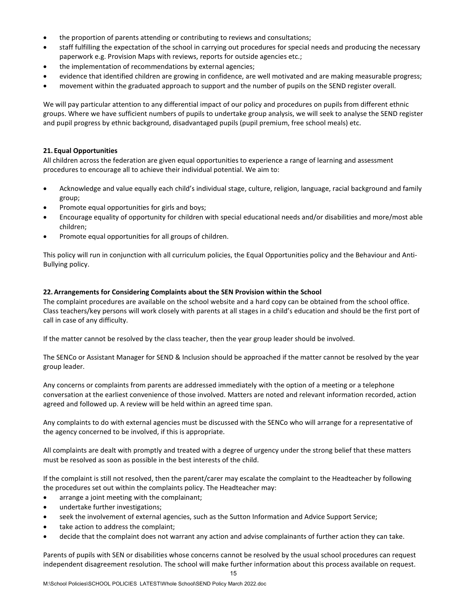- the proportion of parents attending or contributing to reviews and consultations;
- staff fulfilling the expectation of the school in carrying out procedures for special needs and producing the necessary paperwork e.g. Provision Maps with reviews, reports for outside agencies etc.;
- the implementation of recommendations by external agencies;
- evidence that identified children are growing in confidence, are well motivated and are making measurable progress;
- movement within the graduated approach to support and the number of pupils on the SEND register overall.

We will pay particular attention to any differential impact of our policy and procedures on pupils from different ethnic groups. Where we have sufficient numbers of pupils to undertake group analysis, we will seek to analyse the SEND register and pupil progress by ethnic background, disadvantaged pupils (pupil premium, free school meals) etc.

# **21. Equal Opportunities**

All children across the federation are given equal opportunities to experience a range of learning and assessment procedures to encourage all to achieve their individual potential. We aim to:

- Acknowledge and value equally each child's individual stage, culture, religion, language, racial background and family group;
- Promote equal opportunities for girls and boys;
- Encourage equality of opportunity for children with special educational needs and/or disabilities and more/most able children;
- Promote equal opportunities for all groups of children.

This policy will run in conjunction with all curriculum policies, the Equal Opportunities policy and the Behaviour and Anti-Bullying policy.

# **22.Arrangements for Considering Complaints about the SEN Provision within the School**

The complaint procedures are available on the school website and a hard copy can be obtained from the school office. Class teachers/key persons will work closely with parents at all stages in a child's education and should be the first port of call in case of any difficulty.

If the matter cannot be resolved by the class teacher, then the year group leader should be involved.

The SENCo or Assistant Manager for SEND & Inclusion should be approached if the matter cannot be resolved by the year group leader.

Any concerns or complaints from parents are addressed immediately with the option of a meeting or a telephone conversation at the earliest convenience of those involved. Matters are noted and relevant information recorded, action agreed and followed up. A review will be held within an agreed time span.

Any complaints to do with external agencies must be discussed with the SENCo who will arrange for a representative of the agency concerned to be involved, if this is appropriate.

All complaints are dealt with promptly and treated with a degree of urgency under the strong belief that these matters must be resolved as soon as possible in the best interests of the child.

If the complaint is still not resolved, then the parent/carer may escalate the complaint to the Headteacher by following the procedures set out within the complaints policy. The Headteacher may:

- arrange a joint meeting with the complainant;
- undertake further investigations;
- seek the involvement of external agencies, such as the Sutton Information and Advice Support Service;
- take action to address the complaint;
- decide that the complaint does not warrant any action and advise complainants of further action they can take.

15 Parents of pupils with SEN or disabilities whose concerns cannot be resolved by the usual school procedures can request independent disagreement resolution. The school will make further information about this process available on request.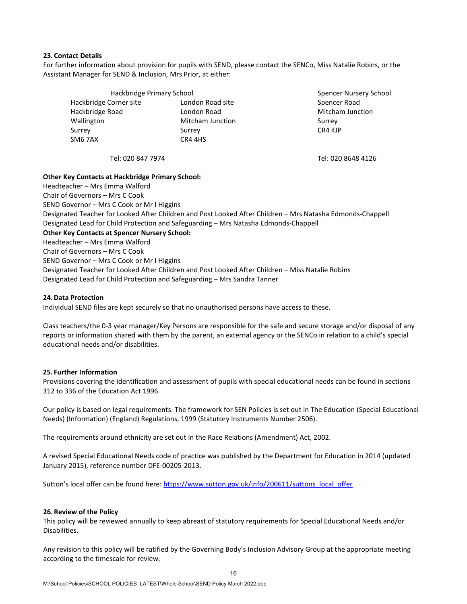### **23. Contact Details**

For further information about provision for pupils with SEND, please contact the SENCo, Miss Natalie Robins, or the Assistant Manager for SEND & Inclusion, Mrs Prior, at either:

| Hackbridge Primary School | Spencer Nursery S |                  |  |  |  |
|---------------------------|-------------------|------------------|--|--|--|
| Hackbridge Corner site    | London Road site  | Spencer Road     |  |  |  |
| Hackbridge Road           | London Road       | Mitcham Junction |  |  |  |
| Wallington                | Mitcham Junction  | Surrey           |  |  |  |
| Surrey                    | Surrey            | CR4 4JP          |  |  |  |
| SM6 7AX                   | CR4 4HS           |                  |  |  |  |

Spencer Nursery School

Tel: 020 847 7974 Tel: 020 8648 4126

# **Other Key Contacts at Hackbridge Primary School:**

Headteacher – Mrs Emma Walford Chair of Governors – Mrs C Cook SEND Governor – Mrs C Cook or Mr I Higgins Designated Teacher for Looked After Children and Post Looked After Children – Mrs Natasha Edmonds-Chappell Designated Lead for Child Protection and Safeguarding – Mrs Natasha Edmonds-Chappell **Other Key Contacts at Spencer Nursery School:** Headteacher – Mrs Emma Walford Chair of Governors – Mrs C Cook SEND Governor – Mrs C Cook or Mr I Higgins Designated Teacher for Looked After Children and Post Looked After Children – Miss Natalie Robins Designated Lead for Child Protection and Safeguarding – Mrs Sandra Tanner

# **24.Data Protection**

Individual SEND files are kept securely so that no unauthorised persons have access to these.

Class teachers/the 0-3 year manager/Key Persons are responsible for the safe and secure storage and/or disposal of any reports or information shared with them by the parent, an external agency or the SENCo in relation to a child's special educational needs and/or disabilities.

# **25. Further Information**

Provisions covering the identification and assessment of pupils with special educational needs can be found in sections 312 to 336 of the [Education Act 1996.](http://www.hmso.gov.uk/acts/acts1996/96056-zd.htm)

Our policy is based on legal requirements. The framework for SEN Policies is set out in The Education (Special Educational Needs) (Information) (England) Regulations, 1999 (Statutory Instruments Number 2506).

The requirements around ethnicity are set out in the Race Relations (Amendment) Act, 2002.

A revised Special Educational Needs code of practice was published by the Department for Education in 2014 (updated January 2015), reference number DFE-00205-2013.

Sutton's local offer can be found here[: https://www.sutton.gov.uk/info/200611/suttons\\_local\\_offer](https://www.sutton.gov.uk/info/200611/suttons_local_offer)

#### **26. Review of the Policy**

This policy will be reviewed annually to keep abreast of statutory requirements for Special Educational Needs and/or Disabilities.

Any revision to this policy will be ratified by the Governing Body's Inclusion Advisory Group at the appropriate meeting according to the timescale for review.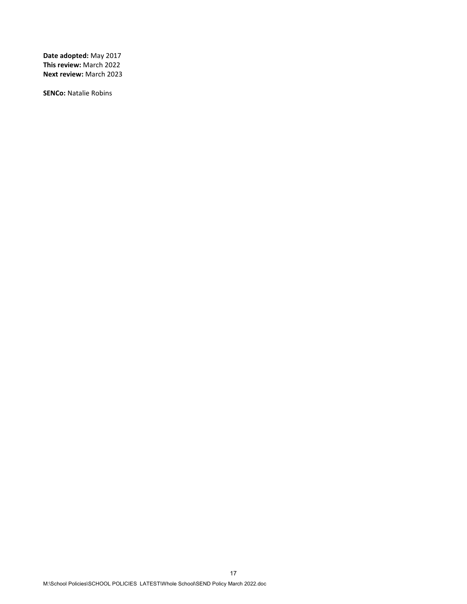**Date adopted:** May 2017 **This review:** March 2022 **Next review:** March 2023

**SENCo:** Natalie Robins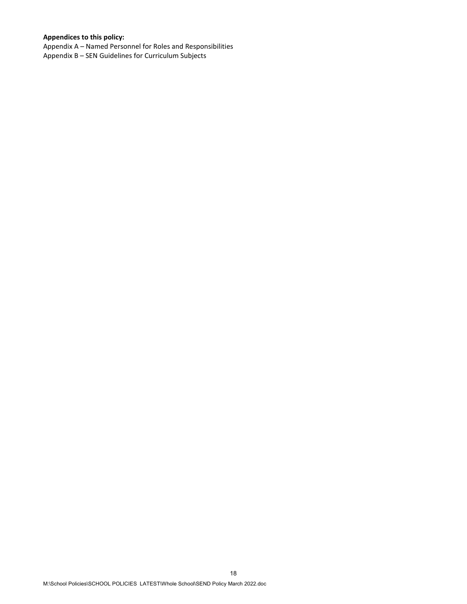# **Appendices to this policy:**

Appendix A – Named Personnel for Roles and Responsibilities Appendix B – SEN Guidelines for Curriculum Subjects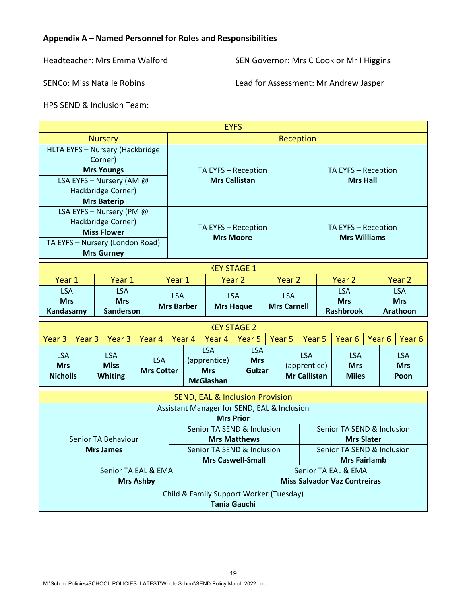# **Appendix A – Named Personnel for Roles and Responsibilities**

Headteacher: Mrs Emma Walford SEN Governor: Mrs C Cook or Mr I Higgins

SENCo: Miss Natalie Robins Lead for Assessment: Mr Andrew Jasper

HPS SEND & Inclusion Team:

| <b>EYFS</b>                                                                                                                                               |                                              |                                             |                                                                   |  |                                           |                                            |                                                   |                                                            |                                              |                                          |                                             |  |
|-----------------------------------------------------------------------------------------------------------------------------------------------------------|----------------------------------------------|---------------------------------------------|-------------------------------------------------------------------|--|-------------------------------------------|--------------------------------------------|---------------------------------------------------|------------------------------------------------------------|----------------------------------------------|------------------------------------------|---------------------------------------------|--|
|                                                                                                                                                           | Reception                                    |                                             |                                                                   |  |                                           |                                            |                                                   |                                                            |                                              |                                          |                                             |  |
| <b>Nursery</b><br>HLTA EYFS - Nursery (Hackbridge<br>Corner)<br><b>Mrs Youngs</b><br>LSA EYFS - Nursery (AM @<br>Hackbridge Corner)<br><b>Mrs Baterip</b> |                                              | TA EYFS - Reception<br><b>Mrs Callistan</b> |                                                                   |  |                                           | TA EYFS - Reception<br><b>Mrs Hall</b>     |                                                   |                                                            |                                              |                                          |                                             |  |
| LSA EYFS - Nursery (PM @<br>Hackbridge Corner)<br><b>Miss Flower</b><br>TA EYFS - Nursery (London Road)<br><b>Mrs Gurney</b>                              |                                              | TA EYFS - Reception<br><b>Mrs Moore</b>     |                                                                   |  |                                           | TA EYFS - Reception<br><b>Mrs Williams</b> |                                                   |                                                            |                                              |                                          |                                             |  |
| <b>KEY STAGE 1</b>                                                                                                                                        |                                              |                                             |                                                                   |  |                                           |                                            |                                                   |                                                            |                                              |                                          |                                             |  |
| Year 1                                                                                                                                                    | Year 1                                       |                                             | Year 1                                                            |  | Year <sub>2</sub>                         |                                            | Year <sub>2</sub>                                 |                                                            |                                              | Year <sub>2</sub>                        | Year <sub>2</sub>                           |  |
| <b>LSA</b><br><b>Mrs</b><br>Kandasamy                                                                                                                     | <b>LSA</b><br><b>Mrs</b><br><b>Sanderson</b> |                                             | <b>LSA</b><br><b>LSA</b><br><b>Mrs Barber</b><br><b>Mrs Haque</b> |  |                                           | <b>LSA</b><br><b>Mrs Carnell</b>           |                                                   |                                                            | <b>LSA</b><br><b>Mrs</b><br><b>Rashbrook</b> |                                          | <b>LSA</b><br><b>Mrs</b><br><b>Arathoon</b> |  |
|                                                                                                                                                           |                                              |                                             |                                                                   |  | <b>KEY STAGE 2</b>                        |                                            |                                                   |                                                            |                                              |                                          |                                             |  |
| Year <sub>3</sub><br>Year <sub>3</sub>                                                                                                                    | Year <sub>3</sub>                            | Year 4                                      | Year 4<br>Year 4                                                  |  | Year <sub>5</sub><br>Year <sub>5</sub>    |                                            |                                                   | Year <sub>5</sub><br>Year <sub>6</sub>                     |                                              | Year <sub>6</sub><br>Year <sub>6</sub>   |                                             |  |
| <b>LSA</b><br><b>Mrs</b><br><b>Nicholls</b>                                                                                                               | <b>LSA</b><br><b>Miss</b><br><b>Whiting</b>  | <b>LSA</b><br><b>Mrs Cotter</b>             | <b>LSA</b><br>(apprentice)<br><b>Mrs</b><br><b>McGlashan</b>      |  | <b>LSA</b><br><b>Mrs</b><br><b>Gulzar</b> |                                            |                                                   | <b>LSA</b><br>(apprentice)<br><b>Mr Callistan</b>          |                                              | <b>LSA</b><br><b>Mrs</b><br><b>Miles</b> | <b>LSA</b><br><b>Mrs</b><br>Poon            |  |
|                                                                                                                                                           |                                              |                                             |                                                                   |  |                                           |                                            |                                                   |                                                            |                                              |                                          |                                             |  |
| <b>SEND, EAL &amp; Inclusion Provision</b><br>Assistant Manager for SEND, EAL & Inclusion<br><b>Mrs Prior</b>                                             |                                              |                                             |                                                                   |  |                                           |                                            |                                                   |                                                            |                                              |                                          |                                             |  |
| Senior TA Behaviour                                                                                                                                       |                                              |                                             | Senior TA SEND & Inclusion<br><b>Mrs Matthews</b>                 |  |                                           |                                            |                                                   | Senior TA SEND & Inclusion<br><b>Mrs Slater</b>            |                                              |                                          |                                             |  |
| <b>Mrs James</b>                                                                                                                                          |                                              |                                             | Senior TA SEND & Inclusion<br><b>Mrs Caswell-Small</b>            |  |                                           |                                            | Senior TA SEND & Inclusion<br><b>Mrs Fairlamb</b> |                                                            |                                              |                                          |                                             |  |
| Senior TA EAL & EMA<br><b>Mrs Ashby</b>                                                                                                                   |                                              |                                             |                                                                   |  |                                           |                                            |                                                   | Senior TA EAL & EMA<br><b>Miss Salvador Vaz Contreiras</b> |                                              |                                          |                                             |  |
| Child & Family Support Worker (Tuesday)<br><b>Tania Gauchi</b>                                                                                            |                                              |                                             |                                                                   |  |                                           |                                            |                                                   |                                                            |                                              |                                          |                                             |  |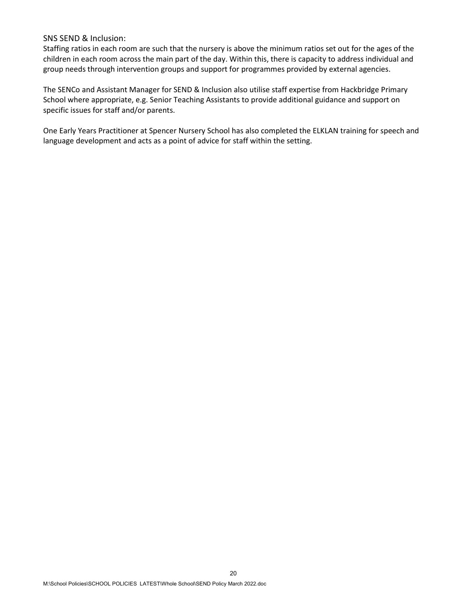# SNS SEND & Inclusion:

Staffing ratios in each room are such that the nursery is above the minimum ratios set out for the ages of the children in each room across the main part of the day. Within this, there is capacity to address individual and group needs through intervention groups and support for programmes provided by external agencies.

The SENCo and Assistant Manager for SEND & Inclusion also utilise staff expertise from Hackbridge Primary School where appropriate, e.g. Senior Teaching Assistants to provide additional guidance and support on specific issues for staff and/or parents.

One Early Years Practitioner at Spencer Nursery School has also completed the ELKLAN training for speech and language development and acts as a point of advice for staff within the setting.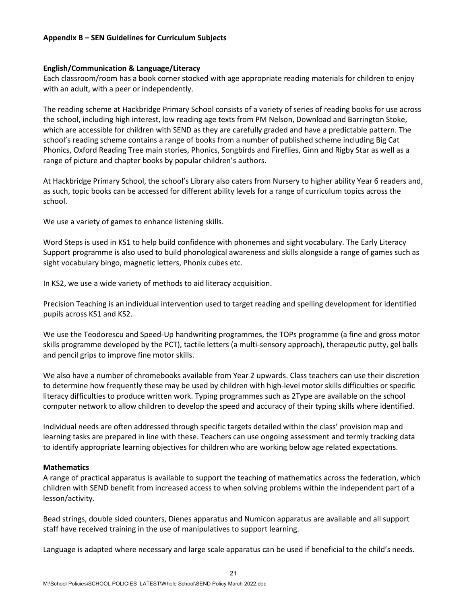# **Appendix B – SEN Guidelines for Curriculum Subjects**

# **English/Communication & Language/Literacy**

Each classroom/room has a book corner stocked with age appropriate reading materials for children to enjoy with an adult, with a peer or independently.

The reading scheme at Hackbridge Primary School consists of a variety of series of reading books for use across the school, including high interest, low reading age texts from PM Nelson, Download and Barrington Stoke, which are accessible for children with SEND as they are carefully graded and have a predictable pattern. The school's reading scheme contains a range of books from a number of published scheme including Big Cat Phonics, Oxford Reading Tree main stories, Phonics, Songbirds and Fireflies, Ginn and Rigby Star as well as a range of picture and chapter books by popular children's authors.

At Hackbridge Primary School, the school's Library also caters from Nursery to higher ability Year 6 readers and, as such, topic books can be accessed for different ability levels for a range of curriculum topics across the school.

We use a variety of games to enhance listening skills.

Word Steps is used in KS1 to help build confidence with phonemes and sight vocabulary. The Early Literacy Support programme is also used to build phonological awareness and skills alongside a range of games such as sight vocabulary bingo, magnetic letters, Phonix cubes etc.

In KS2, we use a wide variety of methods to aid literacy acquisition.

Precision Teaching is an individual intervention used to target reading and spelling development for identified pupils across KS1 and KS2.

We use the Teodorescu and Speed-Up handwriting programmes, the TOPs programme (a fine and gross motor skills programme developed by the PCT), tactile letters (a multi-sensory approach), therapeutic putty, gel balls and pencil grips to improve fine motor skills.

We also have a number of chromebooks available from Year 2 upwards. Class teachers can use their discretion to determine how frequently these may be used by children with high-level motor skills difficulties or specific literacy difficulties to produce written work. Typing programmes such as 2Type are available on the school computer network to allow children to develop the speed and accuracy of their typing skills where identified.

Individual needs are often addressed through specific targets detailed within the class' provision map and learning tasks are prepared in line with these. Teachers can use ongoing assessment and termly tracking data to identify appropriate learning objectives for children who are working below age related expectations.

# **Mathematics**

A range of practical apparatus is available to support the teaching of mathematics across the federation, which children with SEND benefit from increased access to when solving problems within the independent part of a lesson/activity.

Bead strings, double sided counters, Dienes apparatus and Numicon apparatus are available and all support staff have received training in the use of manipulatives to support learning.

Language is adapted where necessary and large scale apparatus can be used if beneficial to the child's needs.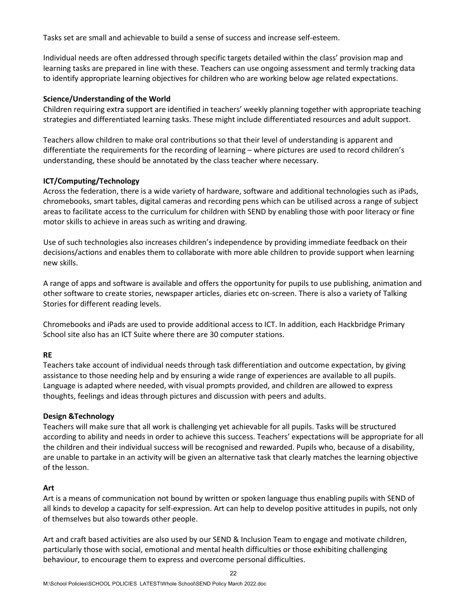Tasks set are small and achievable to build a sense of success and increase self-esteem.

Individual needs are often addressed through specific targets detailed within the class' provision map and learning tasks are prepared in line with these. Teachers can use ongoing assessment and termly tracking data to identify appropriate learning objectives for children who are working below age related expectations.

# **Science/Understanding of the World**

Children requiring extra support are identified in teachers' weekly planning together with appropriate teaching strategies and differentiated learning tasks. These might include differentiated resources and adult support.

Teachers allow children to make oral contributions so that their level of understanding is apparent and differentiate the requirements for the recording of learning – where pictures are used to record children's understanding, these should be annotated by the class teacher where necessary.

# **ICT/Computing/Technology**

Across the federation, there is a wide variety of hardware, software and additional technologies such as iPads, chromebooks, smart tables, digital cameras and recording pens which can be utilised across a range of subject areas to facilitate access to the curriculum for children with SEND by enabling those with poor literacy or fine motor skills to achieve in areas such as writing and drawing.

Use of such technologies also increases children's independence by providing immediate feedback on their decisions/actions and enables them to collaborate with more able children to provide support when learning new skills.

A range of apps and software is available and offers the opportunity for pupils to use publishing, animation and other software to create stories, newspaper articles, diaries etc on-screen. There is also a variety of Talking Stories for different reading levels.

Chromebooks and iPads are used to provide additional access to ICT. In addition, each Hackbridge Primary School site also has an ICT Suite where there are 30 computer stations.

# **RE**

Teachers take account of individual needs through task differentiation and outcome expectation, by giving assistance to those needing help and by ensuring a wide range of experiences are available to all pupils. Language is adapted where needed, with visual prompts provided, and children are allowed to express thoughts, feelings and ideas through pictures and discussion with peers and adults.

# **Design &Technology**

Teachers will make sure that all work is challenging yet achievable for all pupils. Tasks will be structured according to ability and needs in order to achieve this success. Teachers' expectations will be appropriate for all the children and their individual success will be recognised and rewarded. Pupils who, because of a disability, are unable to partake in an activity will be given an alternative task that clearly matches the learning objective of the lesson.

# **Art**

Art is a means of communication not bound by written or spoken language thus enabling pupils with SEND of all kinds to develop a capacity for self-expression. Art can help to develop positive attitudes in pupils, not only of themselves but also towards other people.

Art and craft based activities are also used by our SEND & Inclusion Team to engage and motivate children, particularly those with social, emotional and mental health difficulties or those exhibiting challenging behaviour, to encourage them to express and overcome personal difficulties.